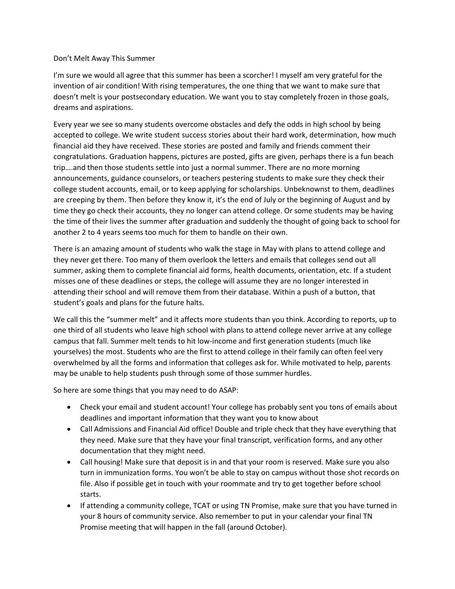## Don't Melt Away This Summer

I'm sure we would all agree that this summer has been a scorcher! I myself am very grateful for the invention of air condition! With rising temperatures, the one thing that we want to make sure that doesn't melt is your postsecondary education. We want you to stay completely frozen in those goals, dreams and aspirations.

Every year we see so many students overcome obstacles and defy the odds in high school by being accepted to college. We write student success stories about their hard work, determination, how much financial aid they have received. These stories are posted and family and friends comment their congratulations. Graduation happens, pictures are posted, gifts are given, perhaps there is a fun beach trip….and then those students settle into just a normal summer. There are no more morning announcements, guidance counselors, or teachers pestering students to make sure they check their college student accounts, email, or to keep applying for scholarships. Unbeknownst to them, deadlines are creeping by them. Then before they know it, it's the end of July or the beginning of August and by time they go check their accounts, they no longer can attend college. Or some students may be having the time of their lives the summer after graduation and suddenly the thought of going back to school for another 2 to 4 years seems too much for them to handle on their own.

There is an amazing amount of students who walk the stage in May with plans to attend college and they never get there. Too many of them overlook the letters and emails that colleges send out all summer, asking them to complete financial aid forms, health documents, orientation, etc. If a student misses one of these deadlines or steps, the college will assume they are no longer interested in attending their school and will remove them from their database. Within a push of a button, that student's goals and plans for the future halts.

We call this the "summer melt" and it affects more students than you think. According to reports, up to one third of all students who leave high school with plans to attend college never arrive at any college campus that fall. Summer melt tends to hit low-income and first generation students (much like yourselves) the most. Students who are the first to attend college in their family can often feel very overwhelmed by all the forms and information that colleges ask for. While motivated to help, parents may be unable to help students push through some of those summer hurdles.

So here are some things that you may need to do ASAP:

- Check your email and student account! Your college has probably sent you tons of emails about deadlines and important information that they want you to know about
- Call Admissions and Financial Aid office! Double and triple check that they have everything that they need. Make sure that they have your final transcript, verification forms, and any other documentation that they might need.
- Call housing! Make sure that deposit is in and that your room is reserved. Make sure you also turn in immunization forms. You won't be able to stay on campus without those shot records on file. Also if possible get in touch with your roommate and try to get together before school starts.
- If attending a community college, TCAT or using TN Promise, make sure that you have turned in your 8 hours of community service. Also remember to put in your calendar your final TN Promise meeting that will happen in the fall (around October).